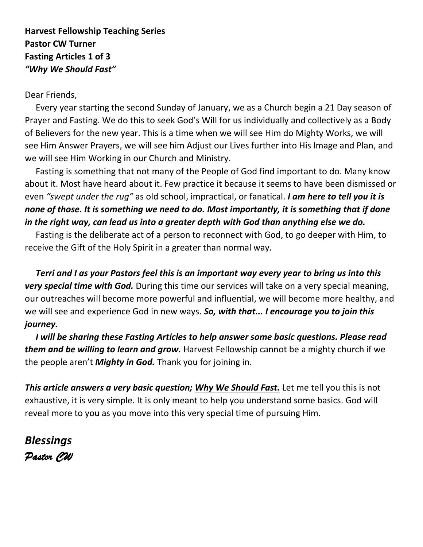### **Harvest Fellowship Teaching Series Pastor CW Turner Fasting Articles 1 of 3** *"Why We Should Fast"*

#### Dear Friends,

 Every year starting the second Sunday of January, we as a Church begin a 21 Day season of Prayer and Fasting. We do this to seek God's Will for us individually and collectively as a Body of Believers for the new year. This is a time when we will see Him do Mighty Works, we will see Him Answer Prayers, we will see him Adjust our Lives further into His Image and Plan, and we will see Him Working in our Church and Ministry.

 Fasting is something that not many of the People of God find important to do. Many know about it. Most have heard about it. Few practice it because it seems to have been dismissed or even *"swept under the rug"* as old school, impractical, or fanatical. *I am here to tell you it is none of those. It is something we need to do. Most importantly, it is something that if done in the right way, can lead us into a greater depth with God than anything else we do.*

Fasting is the deliberate act of a person to reconnect with God, to go deeper with Him, to receive the Gift of the Holy Spirit in a greater than normal way.

 *Terri and I as your Pastors feel this is an important way every year to bring us into this very special time with God.* During this time our services will take on a very special meaning, our outreaches will become more powerful and influential, we will become more healthy, and we will see and experience God in new ways. *So, with that... I encourage you to join this journey.*

 *I will be sharing these Fasting Articles to help answer some basic questions. Please read them and be willing to learn and grow.* Harvest Fellowship cannot be a mighty church if we the people aren't *Mighty in God.* Thank you for joining in.

*This article answers a very basic question; Why We Should Fast.* Let me tell you this is not exhaustive, it is very simple. It is only meant to help you understand some basics. God will reveal more to you as you move into this very special time of pursuing Him.

*Blessings Pastor CW*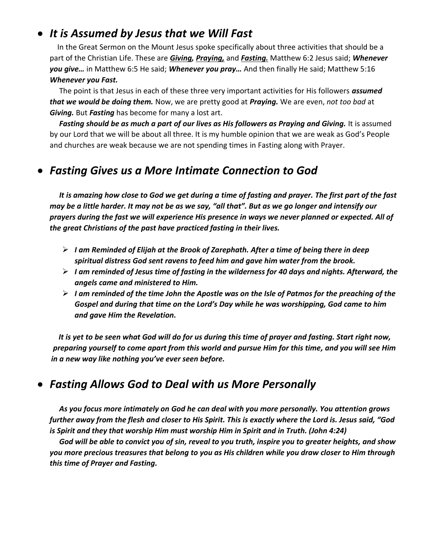# • *It is Assumed by Jesus that we Will Fast*

 In the Great Sermon on the Mount Jesus spoke specifically about three activities that should be a part of the Christian Life. These are *Giving, Praying,* and *Fasting.* Matthew 6:2 Jesus said; *Whenever you give…* in Matthew 6:5 He said; *Whenever you pray…* And then finally He said; Matthew 5:16 *Whenever you Fast.*

 The point is that Jesus in each of these three very important activities for His followers *assumed that we would be doing them.* Now, we are pretty good at *Praying.* We are even, *not too bad* at *Giving.* But *Fasting* has become for many a lost art.

 *Fasting should be as much a part of our lives as His followers as Praying and Giving.* It is assumed by our Lord that we will be about all three. It is my humble opinion that we are weak as God's People and churches are weak because we are not spending times in Fasting along with Prayer.

# • *Fasting Gives us a More Intimate Connection to God*

 *It is amazing how close to God we get during a time of fasting and prayer. The first part of the fast may be a little harder. It may not be as we say, "all that". But as we go longer and intensify our prayers during the fast we will experience His presence in ways we never planned or expected. All of the great Christians of the past have practiced fasting in their lives.* 

- ➢ *I am Reminded of Elijah at the Brook of Zarephath. After a time of being there in deep spiritual distress God sent ravens to feed him and gave him water from the brook.*
- ➢ *I am reminded of Jesus time of fasting in the wilderness for 40 days and nights. Afterward, the angels came and ministered to Him.*
- ➢ *I am reminded of the time John the Apostle was on the Isle of Patmos for the preaching of the Gospel and during that time on the Lord's Day while he was worshipping, God came to him and gave Him the Revelation.*

 *It is yet to be seen what God will do for us during this time of prayer and fasting. Start right now, preparing yourself to come apart from this world and pursue Him for this time, and you will see Him in a new way like nothing you've ever seen before.*

# • *Fasting Allows God to Deal with us More Personally*

 *As you focus more intimately on God he can deal with you more personally. You attention grows further away from the flesh and closer to His Spirit. This is exactly where the Lord is. Jesus said, "God is Spirit and they that worship Him must worship Him in Spirit and in Truth. (John 4:24)*

 *God will be able to convict you of sin, reveal to you truth, inspire you to greater heights, and show you more precious treasures that belong to you as His children while you draw closer to Him through this time of Prayer and Fasting.*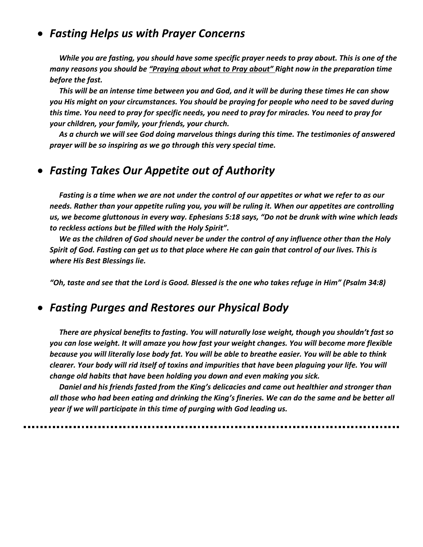## • *Fasting Helps us with Prayer Concerns*

 *While you are fasting, you should have some specific prayer needs to pray about. This is one of the many reasons you should be "Praying about what to Pray about" Right now in the preparation time before the fast.* 

 *This will be an intense time between you and God, and it will be during these times He can show you His might on your circumstances. You should be praying for people who need to be saved during this time. You need to pray for specific needs, you need to pray for miracles. You need to pray for your children, your family, your friends, your church.*

 *As a church we will see God doing marvelous things during this time. The testimonies of answered prayer will be so inspiring as we go through this very special time.*

# • *Fasting Takes Our Appetite out of Authority*

 *Fasting is a time when we are not under the control of our appetites or what we refer to as our needs. Rather than your appetite ruling you, you will be ruling it. When our appetites are controlling us, we become gluttonous in every way. Ephesians 5:18 says, "Do not be drunk with wine which leads to reckless actions but be filled with the Holy Spirit".* 

 *We as the children of God should never be under the control of any influence other than the Holy Spirit of God. Fasting can get us to that place where He can gain that control of our lives. This is where His Best Blessings lie.*

*"Oh, taste and see that the Lord is Good. Blessed is the one who takes refuge in Him" (Psalm 34:8)*

### • *Fasting Purges and Restores our Physical Body*

 *There are physical benefits to fasting. You will naturally lose weight, though you shouldn't fast so you can lose weight. It will amaze you how fast your weight changes. You will become more flexible because you will literally lose body fat. You will be able to breathe easier. You will be able to think clearer. Your body will rid itself of toxins and impurities that have been plaguing your life. You will change old habits that have been holding you down and even making you sick.*

 *Daniel and his friends fasted from the King's delicacies and came out healthier and stronger than all those who had been eating and drinking the King's fineries. We can do the same and be better all year if we will participate in this time of purging with God leading us.*